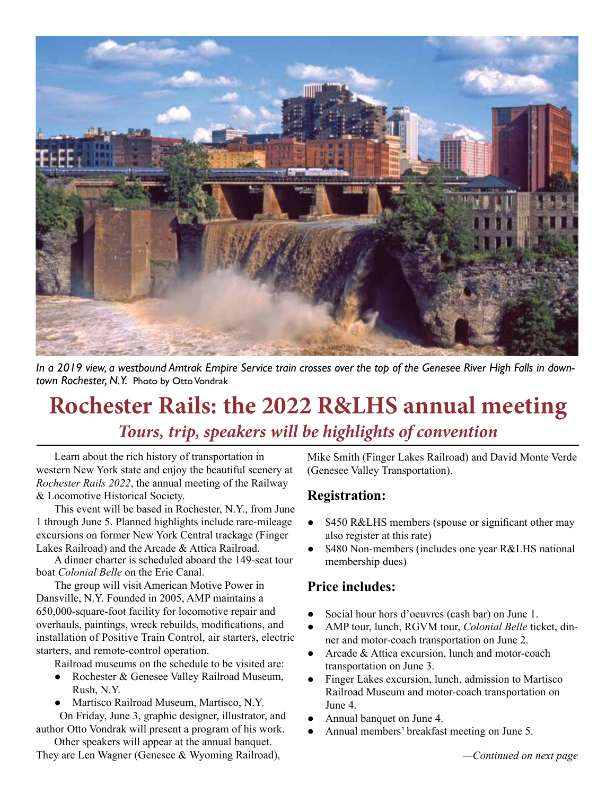

*In a 2019 view, a westbound Amtrak Empire Service train crosses over the top of the Genesee River High Falls in downtown Rochester, N.Y.* Photo by Otto Vondrak

# **Rochester Rails: the 2022 R&LHS annual meeting** *Tours, trip, speakers will be highlights of convention*

Learn about the rich history of transportation in western New York state and enjoy the beautiful scenery at *Rochester Rails 2022*, the annual meeting of the Railway & Locomotive Historical Society.

This event will be based in Rochester, N.Y., from June 1 through June 5. Planned highlights include rare-mileage excursions on former New York Central trackage (Finger Lakes Railroad) and the Arcade & Attica Railroad.

A dinner charter is scheduled aboard the 149-seat tour boat *Colonial Belle* on the Erie Canal.

The group will visit American Motive Power in Dansville, N.Y. Founded in 2005, AMP maintains a 650,000-square-foot facility for locomotive repair and overhauls, paintings, wreck rebuilds, modifications, and installation of Positive Train Control, air starters, electric starters, and remote-control operation.

Railroad museums on the schedule to be visited are:

- Rochester & Genesee Valley Railroad Museum, Rush, N.Y.
- Martisco Railroad Museum, Martisco, N.Y.

 On Friday, June 3, graphic designer, illustrator, and author Otto Vondrak will present a program of his work.

Other speakers will appear at the annual banquet.

They are Len Wagner (Genesee & Wyoming Railroad),

Mike Smith (Finger Lakes Railroad) and David Monte Verde (Genesee Valley Transportation).

### **Registration:**

- \$450 R&LHS members (spouse or significant other may also register at this rate)
- \$480 Non-members (includes one year R&LHS national membership dues)

## **Price includes:**

- Social hour hors d'oeuvres (cash bar) on June 1.
- AMP tour, lunch, RGVM tour, *Colonial Belle* ticket, dinner and motor-coach transportation on June 2.
- Arcade & Attica excursion, lunch and motor-coach transportation on June 3.
- Finger Lakes excursion, lunch, admission to Martisco Railroad Museum and motor-coach transportation on June 4.
- Annual banquet on June 4.
- Annual members' breakfast meeting on June 5.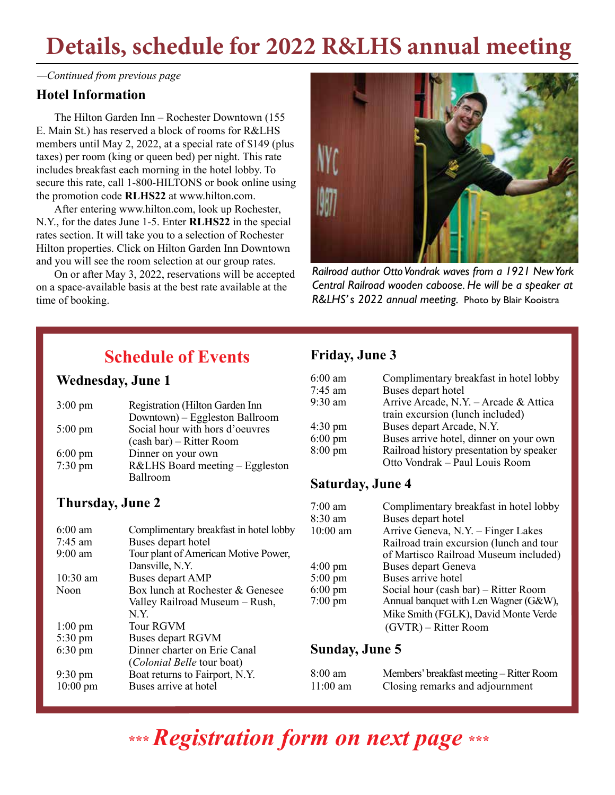# **Details, schedule for 2022 R&LHS annual meeting**

*—Continued from previous page*

### **Hotel Information**

The Hilton Garden Inn – Rochester Downtown (155 E. Main St.) has reserved a block of rooms for R&LHS members until May 2, 2022, at a special rate of \$149 (plus taxes) per room (king or queen bed) per night. This rate includes breakfast each morning in the hotel lobby. To secure this rate, call 1-800-HILTONS or book online using the promotion code **RLHS22** at www.hilton.com.

After entering www.hilton.com, look up Rochester, N.Y., for the dates June 1-5. Enter **RLHS22** in the special rates section. It will take you to a selection of Rochester Hilton properties. Click on Hilton Garden Inn Downtown and you will see the room selection at our group rates.

On or after May 3, 2022, reservations will be accepted on a space-available basis at the best rate available at the time of booking.



*Railroad author Otto Vondrak waves from a 1921 New York Central Railroad wooden caboose. He will be a speaker at R&LHS' s 2022 annual meeting.* Photo by Blair Kooistra

# **Schedule of Events**

### **Wednesday, June 1**

| $3:00 \text{ pm}$    | Registration (Hilton Garden Inn |  |
|----------------------|---------------------------------|--|
|                      | Downtown) - Eggleston Ballroom  |  |
| $5:00 \text{ pm}$    | Social hour with hors d'oeuvres |  |
|                      | (cash bar) – Ritter Room        |  |
| $6:00 \text{ pm}$    | Dinner on your own              |  |
| $7:30 \,\mathrm{pm}$ | R&LHS Board meeting - Eggleston |  |
|                      | Ballroom                        |  |

## **Thursday, June 2**

| $6:00 \text{ am}$  | Complimentary breakfast in hotel lobby |   |
|--------------------|----------------------------------------|---|
| $7:45$ am          | Buses depart hotel                     |   |
| $9:00$ am          | Tour plant of American Motive Power,   |   |
|                    | Dansville, N.Y.                        | 4 |
| $10:30$ am         | Buses depart AMP                       | 5 |
| Noon               | Box lunch at Rochester & Genesee       | 6 |
|                    | Valley Railroad Museum - Rush,         | 7 |
|                    | N.Y.                                   |   |
| $1:00 \text{ pm}$  | Tour RGVM                              |   |
| $5:30 \text{ pm}$  | Buses depart RGVM                      |   |
| $6:30 \text{ pm}$  | Dinner charter on Erie Canal           |   |
|                    | (Colonial Belle tour boat)             |   |
| $9:30 \text{ pm}$  | Boat returns to Fairport, N.Y.         | 8 |
| $10:00 \text{ pm}$ | Buses arrive at hotel                  |   |
|                    |                                        |   |

# **Friday, June 3**

| $6:00$ am<br>7:45 am | Complimentary breakfast in hotel lobby<br>Buses depart hotel |
|----------------------|--------------------------------------------------------------|
| $9:30$ am            | Arrive Arcade, N.Y. - Arcade & Attica                        |
|                      | train excursion (lunch included)                             |
| $4:30 \text{ pm}$    | Buses depart Arcade, N.Y.                                    |
| $6:00 \text{ pm}$    | Buses arrive hotel, dinner on your own                       |
| $8:00 \text{ pm}$    | Railroad history presentation by speaker                     |
|                      | Otto Vondrak - Paul Louis Room                               |

### **Saturday, June 4**

| $7:00$ am         | Complimentary breakfast in hotel lobby   |
|-------------------|------------------------------------------|
| 8:30 am           | Buses depart hotel                       |
| $10:00$ am        | Arrive Geneva, N.Y. - Finger Lakes       |
|                   | Railroad train excursion (lunch and tour |
|                   | of Martisco Railroad Museum included)    |
| $4:00 \text{ pm}$ | Buses depart Geneva                      |
| $5:00 \text{ pm}$ | Buses arrive hotel                       |
| $6:00 \text{ pm}$ | Social hour (cash bar) – Ritter Room     |
| $7:00 \text{ pm}$ | Annual banquet with Len Wagner (G&W),    |
|                   | Mike Smith (FGLK), David Monte Verde     |
|                   | (GVTR) – Ritter Room                     |

#### **Sunday, June 5**

| $8:00 \text{ am}$ | Members' breakfast meeting – Ritter Room |
|-------------------|------------------------------------------|
| $11:00$ am        | Closing remarks and adjournment          |

# **\*\*\*** *Registration form on next page* **\*\*\***